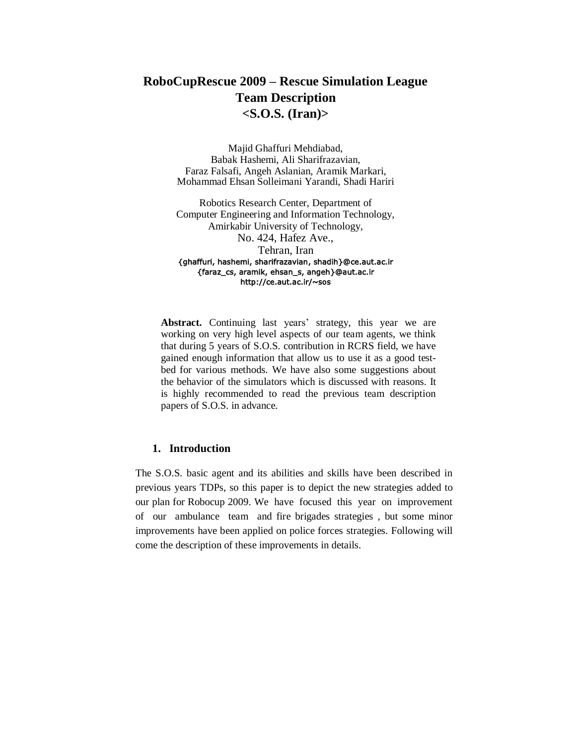# **RoboCupRescue 2009 – Rescue Simulation League Team Description <S.O.S. (Iran)>**

Majid Ghaffuri Mehdiabad, Babak Hashemi, Ali Sharifrazavian, Faraz Falsafi, Angeh Aslanian, Aramik Markari, Mohammad Ehsan Solleimani Yarandi, Shadi Hariri

Robotics Research Center, Department of Computer Engineering and Information Technology, Amirkabir University of Technology, No. 424, Hafez Ave., Tehran, Iran {ghaffuri, hashemi, sharifrazavian, shadih}@ce.aut.ac.ir {faraz\_cs, aramik, ehsan\_s, angeh}@aut.ac.ir http://ce.aut.ac.ir/~sos

**Abstract.** Continuing last years' strategy, this year we are working on very high level aspects of our team agents, we think that during 5 years of S.O.S. contribution in RCRS field, we have gained enough information that allow us to use it as a good testbed for various methods. We have also some suggestions about the behavior of the simulators which is discussed with reasons. It is highly recommended to read the previous team description papers of S.O.S. in advance.

#### **1. Introduction**

The S.O.S. basic agent and its abilities and skills have been described in previous years TDPs, so this paper is to depict the new strategies added to our plan for Robocup 2009. We have focused this year on improvement of our ambulance team and fire brigades strategies , but some minor improvements have been applied on police forces strategies. Following will come the description of these improvements in details.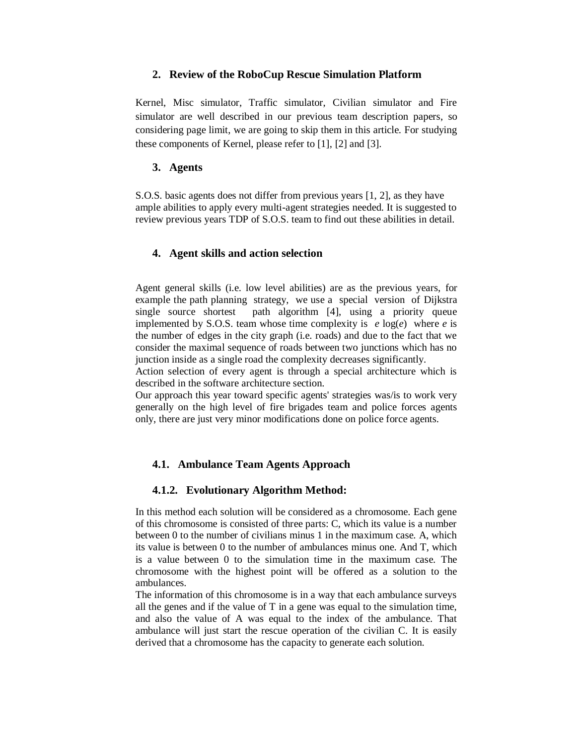#### **2. Review of the RoboCup Rescue Simulation Platform**

Kernel, Misc simulator, Traffic simulator, Civilian simulator and Fire simulator are well described in our previous team description papers, so considering page limit, we are going to skip them in this article. For studying these components of Kernel, please refer to [1], [2] and [3].

#### **3. Agents**

S.O.S. basic agents does not differ from previous years [1, 2], as they have ample abilities to apply every multi-agent strategies needed. It is suggested to review previous years TDP of S.O.S. team to find out these abilities in detail.

# **4. Agent skills and action selection**

Agent general skills (i.e. low level abilities) are as the previous years, for example the path planning strategy, we use a special version of Dijkstra single source shortest path algorithm [4], using a priority queue implemented by S.O.S. team whose time complexity is  $e \log(e)$  where  $e$  is the number of edges in the city graph (i.e. roads) and due to the fact that we consider the maximal sequence of roads between two junctions which has no junction inside as a single road the complexity decreases significantly.

Action selection of every agent is through a special architecture which is described in the software architecture section.

Our approach this year toward specific agents' strategies was/is to work very generally on the high level of fire brigades team and police forces agents only, there are just very minor modifications done on police force agents.

# **4.1. Ambulance Team Agents Approach**

# **4.1.2. Evolutionary Algorithm Method:**

In this method each solution will be considered as a chromosome. Each gene of this chromosome is consisted of three parts: C, which its value is a number between 0 to the number of civilians minus 1 in the maximum case. A, which its value is between 0 to the number of ambulances minus one. And T, which is a value between 0 to the simulation time in the maximum case. The chromosome with the highest point will be offered as a solution to the ambulances.

The information of this chromosome is in a way that each ambulance surveys all the genes and if the value of T in a gene was equal to the simulation time, and also the value of A was equal to the index of the ambulance. That ambulance will just start the rescue operation of the civilian C. It is easily derived that a chromosome has the capacity to generate each solution.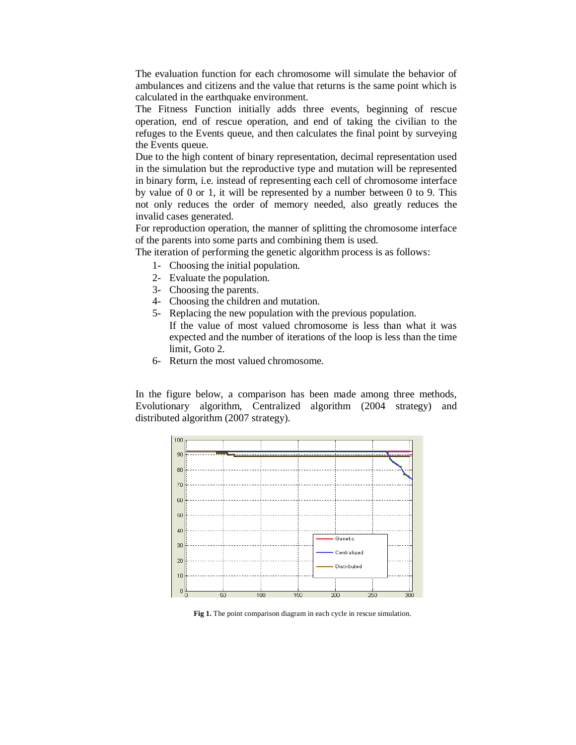The evaluation function for each chromosome will simulate the behavior of ambulances and citizens and the value that returns is the same point which is calculated in the earthquake environment.

The Fitness Function initially adds three events, beginning of rescue operation, end of rescue operation, and end of taking the civilian to the refuges to the Events queue, and then calculates the final point by surveying the Events queue.

Due to the high content of binary representation, decimal representation used in the simulation but the reproductive type and mutation will be represented in binary form, i.e. instead of representing each cell of chromosome interface by value of 0 or 1, it will be represented by a number between 0 to 9. This not only reduces the order of memory needed, also greatly reduces the invalid cases generated.

For reproduction operation, the manner of splitting the chromosome interface of the parents into some parts and combining them is used.

The iteration of performing the genetic algorithm process is as follows:

- 1- Choosing the initial population.
- 2- Evaluate the population.
- 3- Choosing the parents.
- 4- Choosing the children and mutation.
- 5- Replacing the new population with the previous population. If the value of most valued chromosome is less than what it was expected and the number of iterations of the loop is less than the time limit, Goto 2.
- 6- Return the most valued chromosome.

In the figure below, a comparison has been made among three methods, Evolutionary algorithm, Centralized algorithm (2004 strategy) and distributed algorithm (2007 strategy).



**Fig 1.** The point comparison diagram in each cycle in rescue simulation.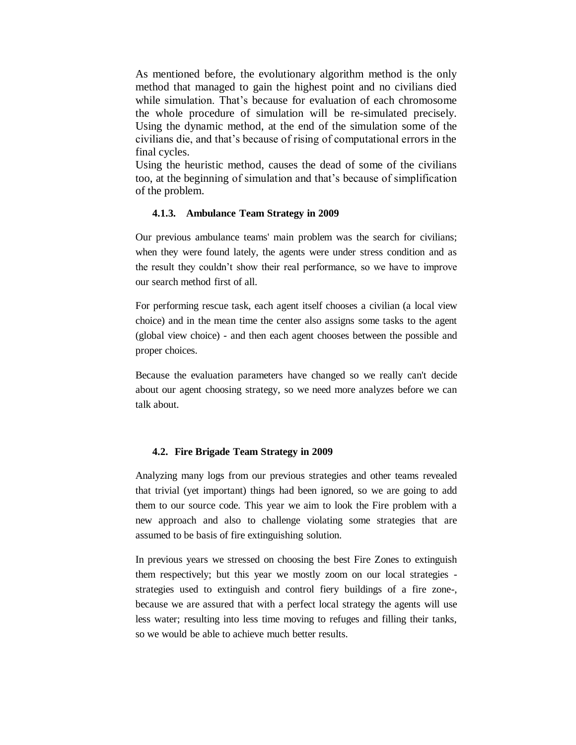As mentioned before, the evolutionary algorithm method is the only method that managed to gain the highest point and no civilians died while simulation. That's because for evaluation of each chromosome the whole procedure of simulation will be re-simulated precisely. Using the dynamic method, at the end of the simulation some of the civilians die, and that's because of rising of computational errors in the final cycles.

Using the heuristic method, causes the dead of some of the civilians too, at the beginning of simulation and that's because of simplification of the problem.

#### **4.1.3. Ambulance Team Strategy in 2009**

Our previous ambulance teams' main problem was the search for civilians; when they were found lately, the agents were under stress condition and as the result they couldn't show their real performance, so we have to improve our search method first of all.

For performing rescue task, each agent itself chooses a civilian (a local view choice) and in the mean time the center also assigns some tasks to the agent (global view choice) - and then each agent chooses between the possible and proper choices.

Because the evaluation parameters have changed so we really can't decide about our agent choosing strategy, so we need more analyzes before we can talk about.

#### **4.2. Fire Brigade Team Strategy in 2009**

Analyzing many logs from our previous strategies and other teams revealed that trivial (yet important) things had been ignored, so we are going to add them to our source code. This year we aim to look the Fire problem with a new approach and also to challenge violating some strategies that are assumed to be basis of fire extinguishing solution.

In previous years we stressed on choosing the best Fire Zones to extinguish them respectively; but this year we mostly zoom on our local strategies strategies used to extinguish and control fiery buildings of a fire zone-, because we are assured that with a perfect local strategy the agents will use less water; resulting into less time moving to refuges and filling their tanks, so we would be able to achieve much better results.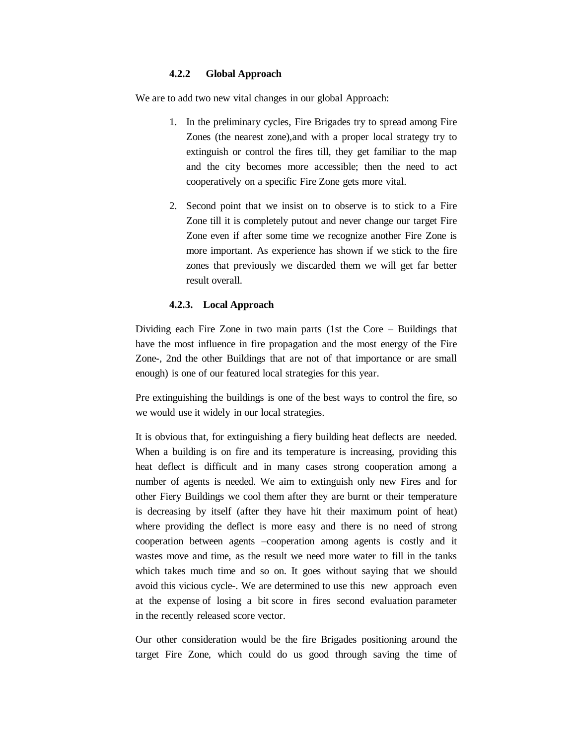# **4.2.2 Global Approach**

We are to add two new vital changes in our global Approach:

- 1. In the preliminary cycles, Fire Brigades try to spread among Fire Zones (the nearest zone),and with a proper local strategy try to extinguish or control the fires till, they get familiar to the map and the city becomes more accessible; then the need to act cooperatively on a specific Fire Zone gets more vital.
- 2. Second point that we insist on to observe is to stick to a Fire Zone till it is completely putout and never change our target Fire Zone even if after some time we recognize another Fire Zone is more important. As experience has shown if we stick to the fire zones that previously we discarded them we will get far better result overall.

#### **4.2.3. Local Approach**

Dividing each Fire Zone in two main parts (1st the Core – Buildings that have the most influence in fire propagation and the most energy of the Fire Zone-, 2nd the other Buildings that are not of that importance or are small enough) is one of our featured local strategies for this year.

Pre extinguishing the buildings is one of the best ways to control the fire, so we would use it widely in our local strategies.

It is obvious that, for extinguishing a fiery building heat deflects are needed. When a building is on fire and its temperature is increasing, providing this heat deflect is difficult and in many cases strong cooperation among a number of agents is needed. We aim to extinguish only new Fires and for other Fiery Buildings we cool them after they are burnt or their temperature is decreasing by itself (after they have hit their maximum point of heat) where providing the deflect is more easy and there is no need of strong cooperation between agents –cooperation among agents is costly and it wastes move and time, as the result we need more water to fill in the tanks which takes much time and so on. It goes without saying that we should avoid this vicious cycle-. We are determined to use this new approach even at the expense of losing a bit score in fires second evaluation parameter in the recently released score vector.

Our other consideration would be the fire Brigades positioning around the target Fire Zone, which could do us good through saving the time of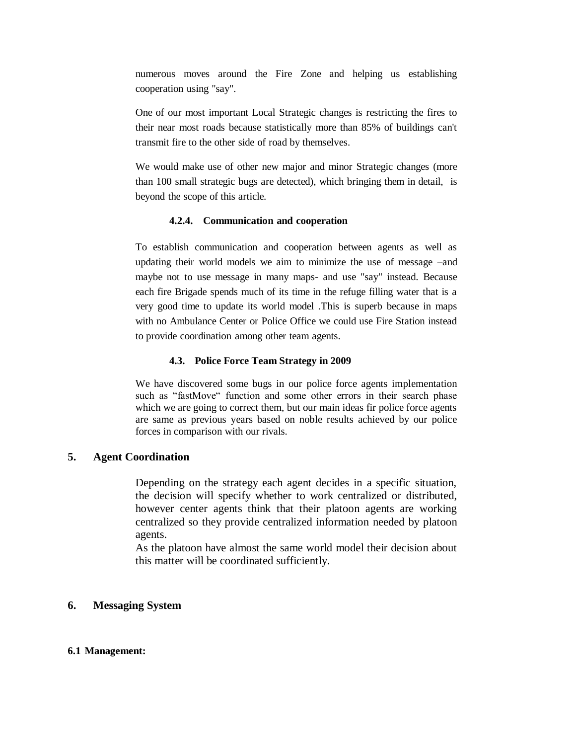numerous moves around the Fire Zone and helping us establishing cooperation using "say".

One of our most important Local Strategic changes is restricting the fires to their near most roads because statistically more than 85% of buildings can't transmit fire to the other side of road by themselves.

We would make use of other new major and minor Strategic changes (more than 100 small strategic bugs are detected), which bringing them in detail, is beyond the scope of this article.

#### **4.2.4. Communication and cooperation**

To establish communication and cooperation between agents as well as updating their world models we aim to minimize the use of message –and maybe not to use message in many maps- and use "say" instead. Because each fire Brigade spends much of its time in the refuge filling water that is a very good time to update its world model .This is superb because in maps with no Ambulance Center or Police Office we could use Fire Station instead to provide coordination among other team agents.

#### **4.3. Police Force Team Strategy in 2009**

We have discovered some bugs in our police force agents implementation such as "fastMove" function and some other errors in their search phase which we are going to correct them, but our main ideas fir police force agents are same as previous years based on noble results achieved by our police forces in comparison with our rivals.

# **5. Agent Coordination**

Depending on the strategy each agent decides in a specific situation, the decision will specify whether to work centralized or distributed, however center agents think that their platoon agents are working centralized so they provide centralized information needed by platoon agents.

As the platoon have almost the same world model their decision about this matter will be coordinated sufficiently.

# **6. Messaging System**

#### **6.1 Management:**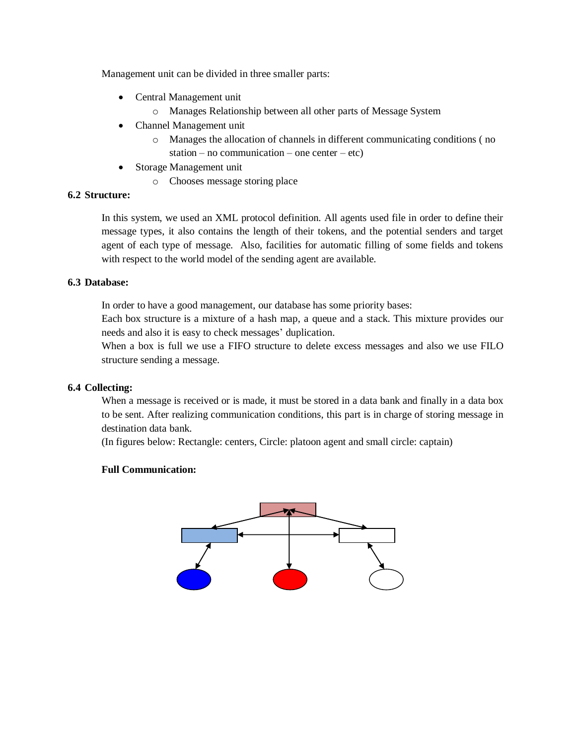Management unit can be divided in three smaller parts:

- Central Management unit
	- o Manages Relationship between all other parts of Message System
- Channel Management unit
	- o Manages the allocation of channels in different communicating conditions ( no station – no communication – one center – etc)
- Storage Management unit
	- o Chooses message storing place

# **6.2 Structure:**

In this system, we used an XML protocol definition. All agents used file in order to define their message types, it also contains the length of their tokens, and the potential senders and target agent of each type of message. Also, facilities for automatic filling of some fields and tokens with respect to the world model of the sending agent are available.

# **6.3 Database:**

In order to have a good management, our database has some priority bases:

Each box structure is a mixture of a hash map, a queue and a stack. This mixture provides our needs and also it is easy to check messages' duplication.

When a box is full we use a FIFO structure to delete excess messages and also we use FILO structure sending a message.

# **6.4 Collecting:**

When a message is received or is made, it must be stored in a data bank and finally in a data box to be sent. After realizing communication conditions, this part is in charge of storing message in destination data bank.

(In figures below: Rectangle: centers, Circle: platoon agent and small circle: captain)

# **Full Communication:**

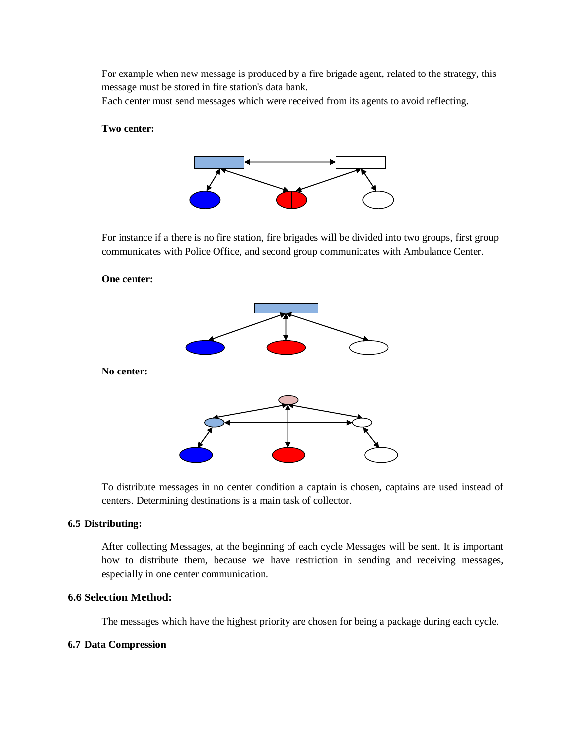For example when new message is produced by a fire brigade agent, related to the strategy, this message must be stored in fire station's data bank.

Each center must send messages which were received from its agents to avoid reflecting.

#### **Two center:**



For instance if a there is no fire station, fire brigades will be divided into two groups, first group communicates with Police Office, and second group communicates with Ambulance Center.

# **One center:**



To distribute messages in no center condition a captain is chosen, captains are used instead of centers. Determining destinations is a main task of collector.

#### **6.5 Distributing:**

After collecting Messages, at the beginning of each cycle Messages will be sent. It is important how to distribute them, because we have restriction in sending and receiving messages, especially in one center communication.

# **6.6 Selection Method:**

The messages which have the highest priority are chosen for being a package during each cycle.

#### **6.7 Data Compression**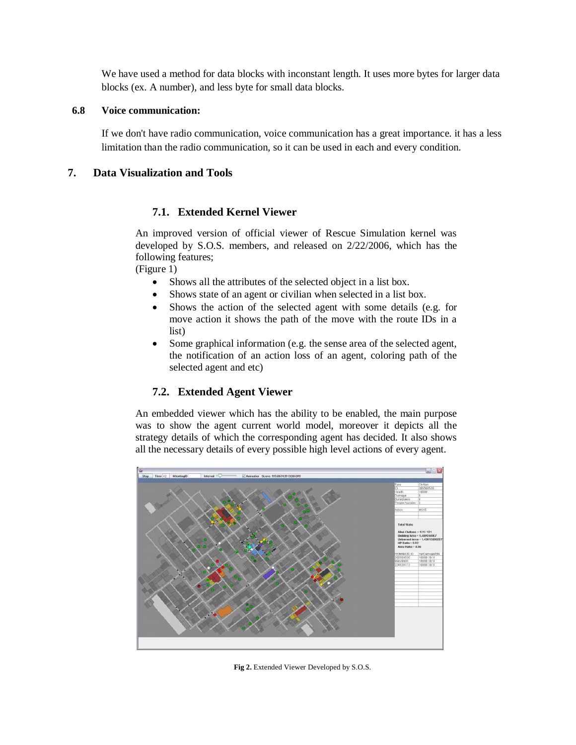We have used a method for data blocks with inconstant length. It uses more bytes for larger data blocks (ex. A number), and less byte for small data blocks.

# **6.8 Voice communication:**

If we don't have radio communication, voice communication has a great importance. it has a less limitation than the radio communication, so it can be used in each and every condition.

# **7. Data Visualization and Tools**

# **7.1. Extended Kernel Viewer**

An improved version of official viewer of Rescue Simulation kernel was developed by S.O.S. members, and released on 2/22/2006, which has the following features;

(Figure 1)

- Shows all the attributes of the selected object in a list box.
- Shows state of an agent or civilian when selected in a list box.
- Shows the action of the selected agent with some details (e.g. for move action it shows the path of the move with the route IDs in a list)
- Some graphical information (e.g. the sense area of the selected agent, the notification of an action loss of an agent, coloring path of the selected agent and etc)

# **7.2. Extended Agent Viewer**

An embedded viewer which has the ability to be enabled, the main purpose was to show the agent current world model, moreover it depicts all the strategy details of which the corresponding agent has decided. It also shows all the necessary details of every possible high level actions of every agent.



Fig 2. Extended Viewer Developed by S.O.S.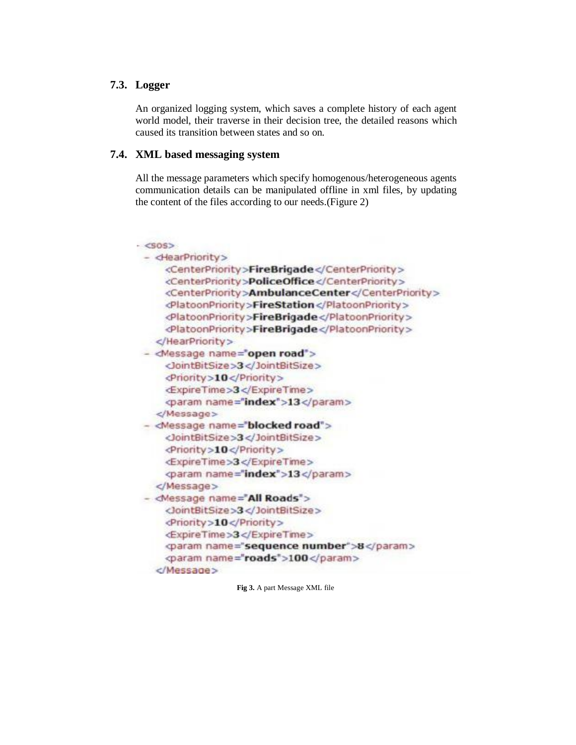# **7.3. Logger**

An organized logging system, which saves a complete history of each agent world model, their traverse in their decision tree, the detailed reasons which caused its transition between states and so on.

# **7.4. XML based messaging system**

All the message parameters which specify homogenous/heterogeneous agents communication details can be manipulated offline in xml files, by updating the content of the files according to our needs.(Figure 2)

| $- <$ SOS>                              |                                                  |
|-----------------------------------------|--------------------------------------------------|
| - <hearpriority></hearpriority>         |                                                  |
|                                         | <centerpriority>FireBrigade</centerpriority>     |
|                                         | <centerpriority>PoliceOffice</centerpriority>    |
|                                         | <centerpriority>AmbulanceCenter</centerpriority> |
|                                         | <platoonpriority>FireStation</platoonpriority>   |
|                                         | <platoonpriority>FireBrigade</platoonpriority>   |
|                                         | <platoonpriority>FireBrigade</platoonpriority>   |
|                                         |                                                  |
| <message name="open road"></message>    |                                                  |
| <br>JointBitSize>3 JointBitSize>        |                                                  |
| <priority>10</priority>                 |                                                  |
| <expiretime>3</expiretime>              |                                                  |
| <param name="index"/> 13                |                                                  |
|                                         |                                                  |
| <message name="blocked road"></message> |                                                  |
| <br>dointBitSize>3 JointBitSize>        |                                                  |
| <priority>10</priority>                 |                                                  |
| <expiretime>3</expiretime>              |                                                  |
| <param name="index"/> 13                |                                                  |
|                                         |                                                  |
| - <message name="All Roads"></message>  |                                                  |
| <jointbitsize>3</jointbitsize>          |                                                  |
| <priority>10</priority>                 |                                                  |
| <expiretime>3</expiretime>              |                                                  |
|                                         | <br>param name="sequence number">8               |
| <param name="roads"/> 100               |                                                  |
|                                         |                                                  |

**Fig 3.** A part Message XML file